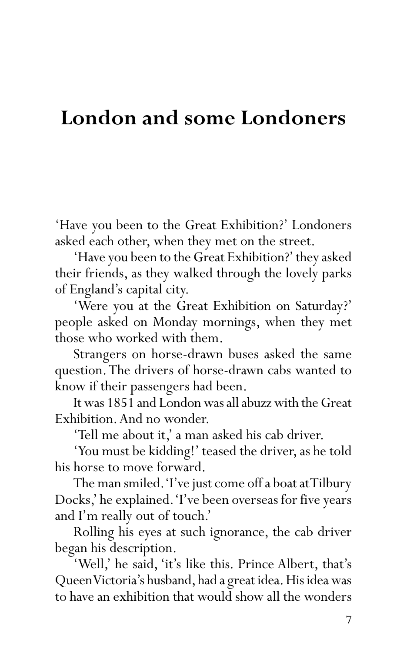## **London and some Londoners**

'Have you been to the Great Exhibition?' Londoners asked each other, when they met on the street.

'Have you been to the Great Exhibition?' they asked their friends, as they walked through the lovely parks of England's capital city.

'Were you at the Great Exhibition on Saturday?' people asked on Monday mornings, when they met those who worked with them.

Strangers on horse-drawn buses asked the same question. The drivers of horse-drawn cabs wanted to know if their passengers had been.

It was 1851 and London was all abuzz with the Great Exhibition. And no wonder.

'Tell me about it,' a man asked his cab driver.

'You must be kidding!' teased the driver, as he told his horse to move forward.

The man smiled. 'I've just come off a boat at Tilbury Docks,' he explained. 'I've been overseas for five years and I'm really out of touch.'

Rolling his eyes at such ignorance, the cab driver began his description.

'Well,' he said, 'it's like this. Prince Albert, that's Queen Victoria's husband, had a great idea. His idea was to have an exhibition that would show all the wonders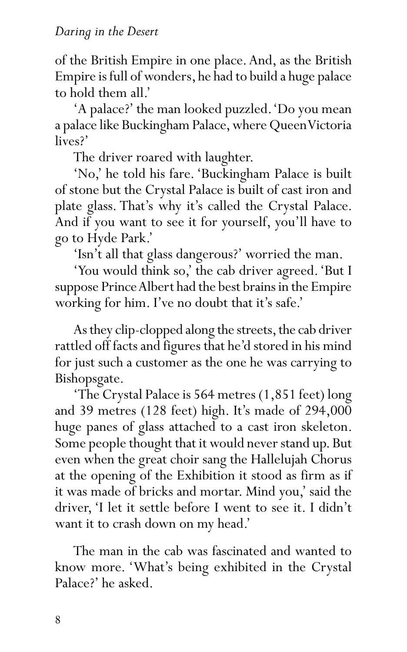of the British Empire in one place. And, as the British Empire is full of wonders, he had to build a huge palace to hold them all.'

'A palace?' the man looked puzzled. 'Do you mean a palace like Buckingham Palace, where Queen Victoria lives?'

The driver roared with laughter.

'No,' he told his fare. 'Buckingham Palace is built of stone but the Crystal Palace is built of cast iron and plate glass. That's why it's called the Crystal Palace. And if you want to see it for yourself, you'll have to go to Hyde Park.'

'Isn't all that glass dangerous?' worried the man.

'You would think so,' the cab driver agreed. 'But I suppose Prince Albert had the best brains in the Empire working for him. I've no doubt that it's safe.'

As they clip-clopped along the streets, the cab driver rattled off facts and figures that he'd stored in his mind for just such a customer as the one he was carrying to Bishopsgate.

'The Crystal Palace is 564 metres (1,851 feet) long and 39 metres (128 feet) high. It's made of 294,000 huge panes of glass attached to a cast iron skeleton. Some people thought that it would never stand up. But even when the great choir sang the Hallelujah Chorus at the opening of the Exhibition it stood as firm as if it was made of bricks and mortar. Mind you,' said the driver, 'I let it settle before I went to see it. I didn't want it to crash down on my head.'

The man in the cab was fascinated and wanted to know more. 'What's being exhibited in the Crystal Palace?' he asked.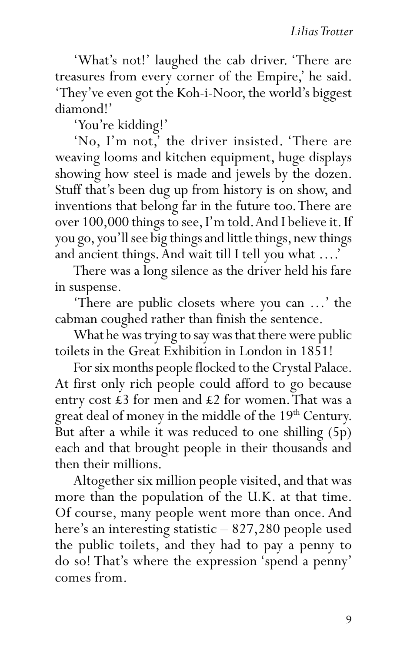'What's not!' laughed the cab driver. 'There are treasures from every corner of the Empire,' he said. 'They've even got the Koh-i-Noor, the world's biggest diamond!'

'You're kidding!'

'No, I'm not,' the driver insisted. 'There are weaving looms and kitchen equipment, huge displays showing how steel is made and jewels by the dozen. Stuff that's been dug up from history is on show, and inventions that belong far in the future too. There are over 100,000 things to see, I'm told. And I believe it. If you go, you'll see big things and little things, new things and ancient things. And wait till I tell you what ….'

There was a long silence as the driver held his fare in suspense.

'There are public closets where you can …' the cabman coughed rather than finish the sentence.

What he was trying to say was that there were public toilets in the Great Exhibition in London in 1851!

For six months people flocked to the Crystal Palace. At first only rich people could afford to go because entry cost £3 for men and £2 for women. That was a great deal of money in the middle of the 19<sup>th</sup> Century. But after a while it was reduced to one shilling (5p) each and that brought people in their thousands and then their millions.

Altogether six million people visited, and that was more than the population of the U.K. at that time. Of course, many people went more than once. And here's an interesting statistic – 827,280 people used the public toilets, and they had to pay a penny to do so! That's where the expression 'spend a penny' comes from.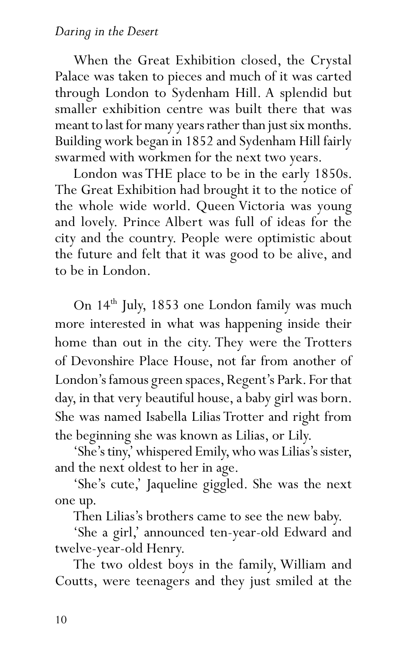When the Great Exhibition closed, the Crystal Palace was taken to pieces and much of it was carted through London to Sydenham Hill. A splendid but smaller exhibition centre was built there that was meant to last for many years rather than just six months. Building work began in 1852 and Sydenham Hill fairly swarmed with workmen for the next two years.

London was THE place to be in the early 1850s. The Great Exhibition had brought it to the notice of the whole wide world. Queen Victoria was young and lovely. Prince Albert was full of ideas for the city and the country. People were optimistic about the future and felt that it was good to be alive, and to be in London.

On 14<sup>th</sup> July, 1853 one London family was much more interested in what was happening inside their home than out in the city. They were the Trotters of Devonshire Place House, not far from another of London's famous green spaces, Regent's Park. For that day, in that very beautiful house, a baby girl was born. She was named Isabella Lilias Trotter and right from the beginning she was known as Lilias, or Lily.

'She's tiny,' whispered Emily, who was Lilias's sister, and the next oldest to her in age.

'She's cute,' Jaqueline giggled. She was the next one up.

Then Lilias's brothers came to see the new baby.

'She a girl,' announced ten-year-old Edward and twelve-year-old Henry.

The two oldest boys in the family, William and Coutts, were teenagers and they just smiled at the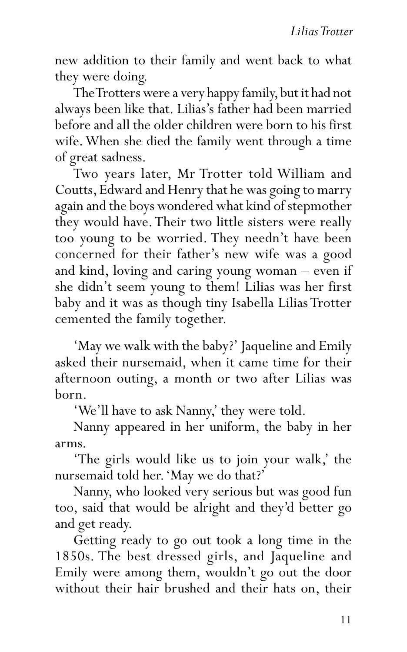new addition to their family and went back to what they were doing.

The Trotters were a very happy family, but it had not always been like that. Lilias's father had been married before and all the older children were born to his first wife. When she died the family went through a time of great sadness.

Two years later, Mr Trotter told William and Coutts, Edward and Henry that he was going to marry again and the boys wondered what kind of stepmother they would have. Their two little sisters were really too young to be worried. They needn't have been concerned for their father's new wife was a good and kind, loving and caring young woman – even if she didn't seem young to them! Lilias was her first baby and it was as though tiny Isabella Lilias Trotter cemented the family together.

'May we walk with the baby?' Jaqueline and Emily asked their nursemaid, when it came time for their afternoon outing, a month or two after Lilias was born.

'We'll have to ask Nanny,' they were told.

Nanny appeared in her uniform, the baby in her arms.

'The girls would like us to join your walk,' the nursemaid told her. 'May we do that?'

Nanny, who looked very serious but was good fun too, said that would be alright and they'd better go and get ready.

Getting ready to go out took a long time in the 1850s. The best dressed girls, and Jaqueline and Emily were among them, wouldn't go out the door without their hair brushed and their hats on, their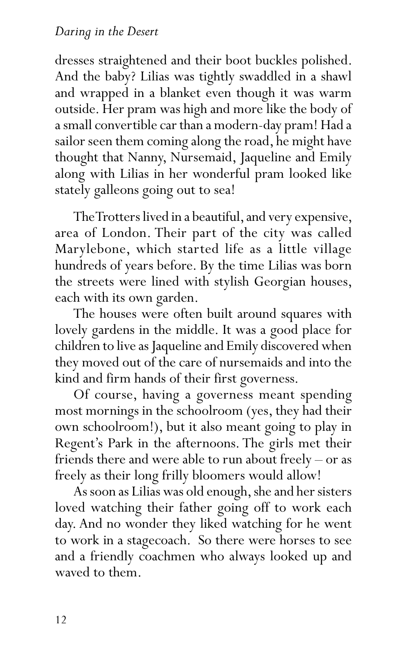## *Daring in the Desert*

dresses straightened and their boot buckles polished. And the baby? Lilias was tightly swaddled in a shawl and wrapped in a blanket even though it was warm outside. Her pram was high and more like the body of a small convertible car than a modern-day pram! Had a sailor seen them coming along the road, he might have thought that Nanny, Nursemaid, Jaqueline and Emily along with Lilias in her wonderful pram looked like stately galleons going out to sea!

The Trotters lived in a beautiful, and very expensive, area of London. Their part of the city was called Marylebone, which started life as a little village hundreds of years before. By the time Lilias was born the streets were lined with stylish Georgian houses, each with its own garden.

The houses were often built around squares with lovely gardens in the middle. It was a good place for children to live as Jaqueline and Emily discovered when they moved out of the care of nursemaids and into the kind and firm hands of their first governess.

Of course, having a governess meant spending most mornings in the schoolroom (yes, they had their own schoolroom!), but it also meant going to play in Regent's Park in the afternoons. The girls met their friends there and were able to run about freely – or as freely as their long frilly bloomers would allow!

As soon as Lilias was old enough, she and her sisters loved watching their father going off to work each day. And no wonder they liked watching for he went to work in a stagecoach. So there were horses to see and a friendly coachmen who always looked up and waved to them.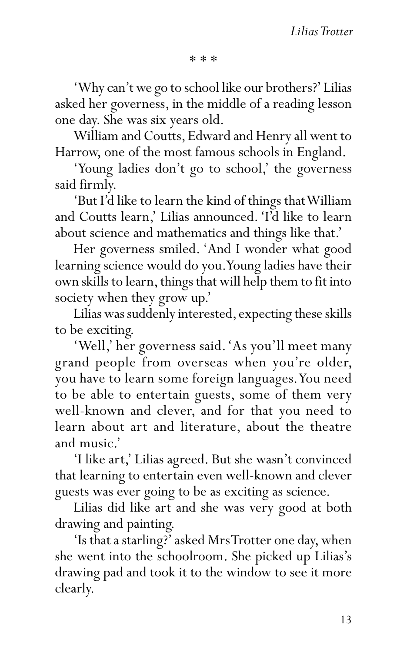\* \* \*

'Why can't we go to school like our brothers?' Lilias asked her governess, in the middle of a reading lesson one day. She was six years old.

William and Coutts, Edward and Henry all went to Harrow, one of the most famous schools in England.

'Young ladies don't go to school,' the governess said firmly.

'But I'd like to learn the kind of things that William and Coutts learn,' Lilias announced. 'I'd like to learn about science and mathematics and things like that.'

Her governess smiled. 'And I wonder what good learning science would do you. Young ladies have their own skills to learn, things that will help them to fit into society when they grow up.'

Lilias was suddenly interested, expecting these skills to be exciting.

'Well,' her governess said. 'As you'll meet many grand people from overseas when you're older, you have to learn some foreign languages. You need to be able to entertain guests, some of them very well-known and clever, and for that you need to learn about art and literature, about the theatre and music.'

'I like art,' Lilias agreed. But she wasn't convinced that learning to entertain even well-known and clever guests was ever going to be as exciting as science.

Lilias did like art and she was very good at both drawing and painting.

'Is that a starling?' asked Mrs Trotter one day, when she went into the schoolroom. She picked up Lilias's drawing pad and took it to the window to see it more clearly.